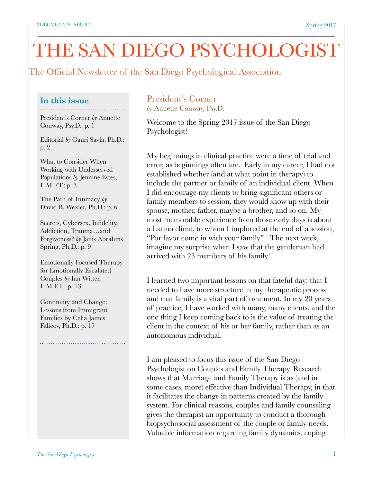# THE SAN DIEGO PSYCHOLOGIST

# The Official Newsletter of the San Diego Psychological Association

#### **In this issue**

President's Corner *by* Annette Conway, Psy.D.: p. 1

Editorial *by* Gauri Savla, Ph.D.: p. 2

What to Consider When Working with Underserved Populations *by* Jennine Estes, L.M.F.T.: p. 3

The Path of Intimacy *by* David B. Wexler, Ph.D.: p. 6

Secrets, Cybersex, Infidelity, Addiction, Trauma…and Forgiveness? *by* Janis Abrahms Spring, Ph.D.: p. 9

Emotionally Focused Therapy for Emotionally Escalated Couples *by* Ian Witter, L.M.F.T.: p. 13

Continuity and Change: Lessons from Immigrant Families by Celia James Falicov, Ph.D.: p. 17

# President's Corner

*by* Annette Conway, Psy.D.

Welcome to the Spring 2017 issue of the San Diego Psychologist!

My beginnings in clinical practice were a time of trial and error, as beginnings often are. Early in my career, I had not established whether (and at what point in therapy) to include the partner or family of an individual client. When I did encourage my clients to bring significant others or family members to session, they would show up with their spouse, mother, father, maybe a brother, and so on. My most memorable experience from those early days is about a Latino client, to whom I implored at the end of a session, "Por favor come in with your family". The next week, imagine my surprise when I saw that the gentleman had arrived with 23 members of his family!

I learned two important lessons on that fateful day: that I needed to have more structure in my therapeutic process and that family is a vital part of treatment. In my 20 years of practice, I have worked with many, many clients, and the one thing I keep coming back to is the value of treating the client in the context of his or her family, rather than as an autonomous individual.

I am pleased to focus this issue of the San Diego Psychologist on Couples and Family Therapy. Research shows that Marriage and Family Therapy is as (and in some cases, more) effective than Individual Therapy, in that it facilitates the change in patterns created by the family system. For clinical reasons, couples and family counseling gives the therapist an opportunity to conduct a thorough biopsychosocial assessment of the couple or family needs. Valuable information regarding family dynamics, coping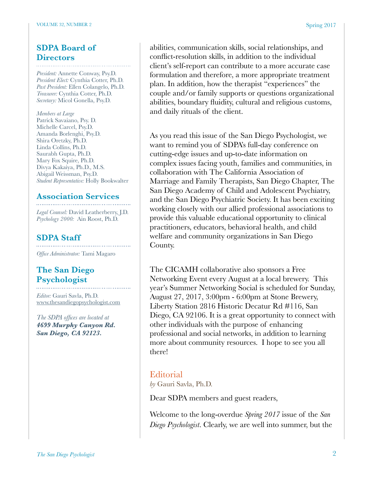# **SDPA Board of Directors**

*President:* Annette Conway, Psy.D. *President Elect:* Cynthia Cotter, Ph.D. *Past President:* Ellen Colangelo, Ph.D. *Treasurer:* Cynthia Cotter, Ph.D. *Secretary:* Micol Gonella, Psy.D.

*Members at Large* Patrick Savaiano, Psy. D. Michelle Carcel, Psy.D. Amanda Borlenghi, Psy.D. Shira Oretzky, Ph.D. Linda Collins, Ph.D. Saurabh Gupta, Ph.D. Mary Fox Squire, Ph.D. Divya Kakaiya, Ph.D., M.S. Abigail Weissman, Psy.D. *Student Representative:* Holly Bookwalter

# **Association Services**

*Legal Counsel:* David Leatherberry, J.D. *Psychology 2000:* Ain Roost, Ph.D.

# **SDPA Staff**

*Office Administrator:* Tami Magaro

# **The San Diego Psychologist**

*Editor:* Gauri Savla, Ph.D. [www.thesandiegopsychologist.com](http://www.thesandiegopsychologist.com)

*The SDPA offices are located at 4699 Murphy Canyon Rd. San Diego, CA 92123.* 

abilities, communication skills, social relationships, and conflict-resolution skills, in addition to the individual client's self-report can contribute to a more accurate case formulation and therefore, a more appropriate treatment plan. In addition, how the therapist "experiences" the couple and/or family supports or questions organizational abilities, boundary fluidity, cultural and religious customs, and daily rituals of the client.

As you read this issue of the San Diego Psychologist, we want to remind you of SDPA's full-day conference on cutting-edge issues and up-to-date information on complex issues facing youth, families and communities, in collaboration with The California Association of Marriage and Family Therapists, San Diego Chapter, The San Diego Academy of Child and Adolescent Psychiatry, and the San Diego Psychiatric Society. It has been exciting working closely with our allied professional associations to provide this valuable educational opportunity to clinical practitioners, educators, behavioral health, and child welfare and community organizations in San Diego County.

The CICAMH collaborative also sponsors a Free Networking Event every August at a local brewery. This year's Summer Networking Social is scheduled for Sunday, August 27, 2017, 3:00pm - 6:00pm at Stone Brewery, Liberty Station 2816 Historic Decatur Rd #116, San Diego, CA 92106. It is a great opportunity to connect with other individuals with the purpose of enhancing professional and social networks, in addition to learning more about community resources. I hope to see you all there!

# **Editorial**

*by* Gauri Savla, Ph.D.

Dear SDPA members and guest readers,

Welcome to the long-overdue *Spring 2017* issue of the *San Diego Psychologist*. Clearly, we are well into summer, but the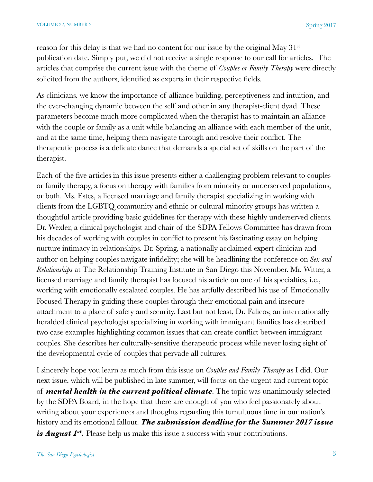reason for this delay is that we had no content for our issue by the original May 31st publication date. Simply put, we did not receive a single response to our call for articles. The articles that comprise the current issue with the theme of *Couples or Family Therapy* were directly solicited from the authors, identified as experts in their respective fields.

As clinicians, we know the importance of alliance building, perceptiveness and intuition, and the ever-changing dynamic between the self and other in any therapist-client dyad. These parameters become much more complicated when the therapist has to maintain an alliance with the couple or family as a unit while balancing an alliance with each member of the unit, and at the same time, helping them navigate through and resolve their conflict. The therapeutic process is a delicate dance that demands a special set of skills on the part of the therapist.

Each of the five articles in this issue presents either a challenging problem relevant to couples or family therapy, a focus on therapy with families from minority or underserved populations, or both. Ms. Estes, a licensed marriage and family therapist specializing in working with clients from the LGBTQ community and ethnic or cultural minority groups has written a thoughtful article providing basic guidelines for therapy with these highly underserved clients. Dr. Wexler, a clinical psychologist and chair of the SDPA Fellows Committee has drawn from his decades of working with couples in conflict to present his fascinating essay on helping nurture intimacy in relationships. Dr. Spring, a nationally acclaimed expert clinician and author on helping couples navigate infidelity; she will be headlining the conference on *Sex and Relationships* at The Relationship Training Institute in San Diego this November. Mr. Witter, a licensed marriage and family therapist has focused his article on one of his specialties, i.e., working with emotionally escalated couples. He has artfully described his use of Emotionally Focused Therapy in guiding these couples through their emotional pain and insecure attachment to a place of safety and security. Last but not least, Dr. Falicov, an internationally heralded clinical psychologist specializing in working with immigrant families has described two case examples highlighting common issues that can create conflict between immigrant couples. She describes her culturally-sensitive therapeutic process while never losing sight of the developmental cycle of couples that pervade all cultures.

I sincerely hope you learn as much from this issue on *Couples and Family Therapy* as I did. Our next issue, which will be published in late summer, will focus on the urgent and current topic of *mental health in the current political climate*. The topic was unanimously selected by the SDPA Board, in the hope that there are enough of you who feel passionately about writing about your experiences and thoughts regarding this tumultuous time in our nation's history and its emotional fallout. *The submission deadline for the Summer 2017 issue is August 1st.* Please help us make this issue a success with your contributions.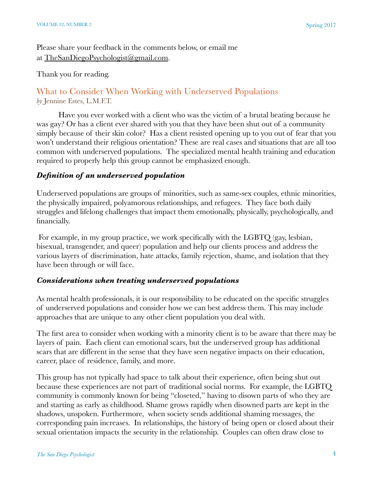Please share your feedback in the comments below, or email me at [TheSanDiegoPsychologist@gmail.com](mailto:TheSanDiegoPsychologist@gmail.com).

#### Thank you for reading.

# What to Consider When Working with Underserved Populations *by* Jennine Estes, L.M.F.T.

Have you ever worked with a client who was the victim of a brutal beating because he was gay? Or has a client ever shared with you that they have been shut out of a community simply because of their skin color? Has a client resisted opening up to you out of fear that you won't understand their religious orientation? These are real cases and situations that are all too common with underserved populations. The specialized mental health training and education required to properly help this group cannot be emphasized enough.

# *Definition of an underserved population*

Underserved populations are groups of minorities, such as same-sex couples, ethnic minorities, the physically impaired, polyamorous relationships, and refugees. They face both daily struggles and lifelong challenges that impact them emotionally, physically, psychologically, and financially.

For example, in my group practice, we work specifically with the LGBTQ (gay, lesbian, bisexual, transgender, and queer) population and help our clients process and address the various layers of discrimination, hate attacks, family rejection, shame, and isolation that they have been through or will face.

#### *Considerations when treating underserved populations*

As mental health professionals, it is our responsibility to be educated on the specific struggles of underserved populations and consider how we can best address them. This may include approaches that are unique to any other client population you deal with.

The first area to consider when working with a minority client is to be aware that there may be layers of pain. Each client can emotional scars, but the underserved group has additional scars that are different in the sense that they have seen negative impacts on their education, career, place of residence, family, and more.

This group has not typically had space to talk about their experience, often being shut out because these experiences are not part of traditional social norms. For example, the LGBTQ community is commonly known for being "closeted," having to disown parts of who they are and starting as early as childhood. Shame grows rapidly when disowned parts are kept in the shadows, unspoken. Furthermore, when society sends additional shaming messages, the corresponding pain increases. In relationships, the history of being open or closed about their sexual orientation impacts the security in the relationship. Couples can often draw close to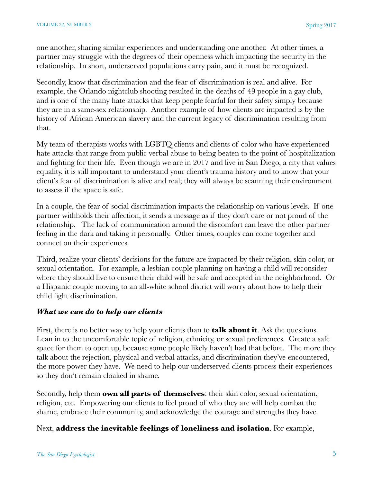one another, sharing similar experiences and understanding one another. At other times, a partner may struggle with the degrees of their openness which impacting the security in the relationship. In short, underserved populations carry pain, and it must be recognized.

Secondly, know that discrimination and the fear of discrimination is real and alive. For example, the Orlando nightclub shooting resulted in the deaths of 49 people in a gay club, and is one of the many hate attacks that keep people fearful for their safety simply because they are in a same-sex relationship. Another example of how clients are impacted is by the history of African American slavery and the current legacy of discrimination resulting from that.

My team of therapists works with LGBTQ clients and clients of color who have experienced hate attacks that range from public verbal abuse to being beaten to the point of hospitalization and fighting for their life. Even though we are in 2017 and live in San Diego, a city that values equality, it is still important to understand your client's trauma history and to know that your client's fear of discrimination is alive and real; they will always be scanning their environment to assess if the space is safe.

In a couple, the fear of social discrimination impacts the relationship on various levels. If one partner withholds their affection, it sends a message as if they don't care or not proud of the relationship. The lack of communication around the discomfort can leave the other partner feeling in the dark and taking it personally. Other times, couples can come together and connect on their experiences.

Third, realize your clients' decisions for the future are impacted by their religion, skin color, or sexual orientation. For example, a lesbian couple planning on having a child will reconsider where they should live to ensure their child will be safe and accepted in the neighborhood. Or a Hispanic couple moving to an all-white school district will worry about how to help their child fight discrimination.

#### *What we can do to help our clients*

First, there is no better way to help your clients than to **talk about it**. Ask the questions. Lean in to the uncomfortable topic of religion, ethnicity, or sexual preferences. Create a safe space for them to open up, because some people likely haven't had that before. The more they talk about the rejection, physical and verbal attacks, and discrimination they've encountered, the more power they have. We need to help our underserved clients process their experiences so they don't remain cloaked in shame.

Secondly, help them **own all parts of themselves**: their skin color, sexual orientation, religion, etc. Empowering our clients to feel proud of who they are will help combat the shame, embrace their community, and acknowledge the courage and strengths they have.

#### Next, **address the inevitable feelings of loneliness and isolation**. For example,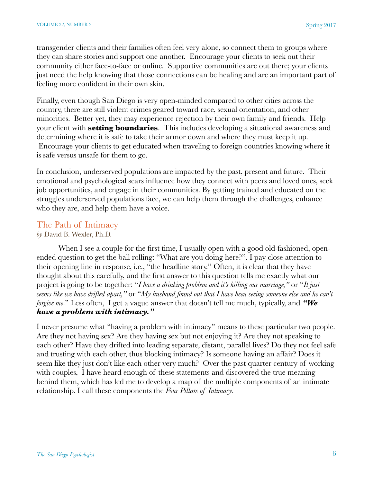transgender clients and their families often feel very alone, so connect them to groups where they can share stories and support one another. Encourage your clients to seek out their community either face-to-face or online. Supportive communities are out there; your clients just need the help knowing that those connections can be healing and are an important part of feeling more confident in their own skin.

Finally, even though San Diego is very open-minded compared to other cities across the country, there are still violent crimes geared toward race, sexual orientation, and other minorities. Better yet, they may experience rejection by their own family and friends. Help your client with **setting boundaries**. This includes developing a situational awareness and determining where it is safe to take their armor down and where they must keep it up. Encourage your clients to get educated when traveling to foreign countries knowing where it is safe versus unsafe for them to go.

In conclusion, underserved populations are impacted by the past, present and future. Their emotional and psychological scars influence how they connect with peers and loved ones, seek job opportunities, and engage in their communities. By getting trained and educated on the struggles underserved populations face, we can help them through the challenges, enhance who they are, and help them have a voice.

#### The Path of Intimacy

#### *by* David B. Wexler, Ph.D.

When I see a couple for the first time, I usually open with a good old-fashioned, openended question to get the ball rolling: "What are you doing here?". I pay close attention to their opening line in response, i.e., "the headline story." Often, it is clear that they have thought about this carefully, and the first answer to this question tells me exactly what our project is going to be together: "*I have a drinking problem and it's killing our marriage,"* or "*It just seems like we have drifted apart,"* or "*My husband found out that I have been seeing someone else and he can't forgive me.*" Less often, I get a vague answer that doesn't tell me much, typically, and *"We have a problem with intimacy."*

I never presume what "having a problem with intimacy" means to these particular two people. Are they not having sex? Are they having sex but not enjoying it? Are they not speaking to each other? Have they drifted into leading separate, distant, parallel lives? Do they not feel safe and trusting with each other, thus blocking intimacy? Is someone having an affair? Does it seem like they just don't like each other very much? Over the past quarter century of working with couples, I have heard enough of these statements and discovered the true meaning behind them, which has led me to develop a map of the multiple components of an intimate relationship. I call these components the *Four Pillars of Intimacy*.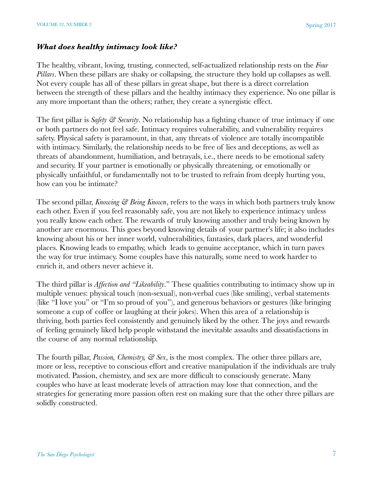#### *What does healthy intimacy look like?*

The healthy, vibrant, loving, trusting, connected, self-actualized relationship rests on the *Four Pillars*. When these pillars are shaky or collapsing, the structure they hold up collapses as well. Not every couple has all of these pillars in great shape, but there is a direct correlation between the strength of these pillars and the healthy intimacy they experience. No one pillar is any more important than the others; rather, they create a synergistic effect.

The first pillar is *Safety & Security*. No relationship has a fighting chance of true intimacy if one or both partners do not feel safe. Intimacy requires vulnerability, and vulnerability requires safety. Physical safety is paramount, in that, any threats of violence are totally incompatible with intimacy. Similarly, the relationship needs to be free of lies and deceptions, as well as threats of abandonment, humiliation, and betrayals, i.e., there needs to be emotional safety and security. If your partner is emotionally or physically threatening, or emotionally or physically unfaithful, or fundamentally not to be trusted to refrain from deeply hurting you, how can you be intimate?

The second pillar, *Knowing & Being Known*, refers to the ways in which both partners truly know each other. Even if you feel reasonably safe, you are not likely to experience intimacy unless you really know each other. The rewards of truly knowing another and truly being known by another are enormous. This goes beyond knowing details of your partner's life; it also includes knowing about his or her inner world, vulnerabilities, fantasies, dark places, and wonderful places. Knowing leads to empathy, which leads to genuine acceptance, which in turn paves the way for true intimacy. Some couples have this naturally, some need to work harder to enrich it, and others never achieve it.

The third pillar is *Affection and "Likeability*." These qualities contributing to intimacy show up in multiple venues: physical touch (non-sexual), non-verbal cues (like smiling), verbal statements (like "I love you" or "I'm so proud of you"), and generous behaviors or gestures (like bringing someone a cup of coffee or laughing at their jokes). When this area of a relationship is thriving, both parties feel consistently and genuinely liked by the other. The joys and rewards of feeling genuinely liked help people withstand the inevitable assaults and dissatisfactions in the course of any normal relationship.

The fourth pillar, *Passion, Chemistry, & Sex*, is the most complex. The other three pillars are, more or less, receptive to conscious effort and creative manipulation if the individuals are truly motivated. Passion, chemistry, and sex are more difficult to consciously generate. Many couples who have at least moderate levels of attraction may lose that connection, and the strategies for generating more passion often rest on making sure that the other three pillars are solidly constructed.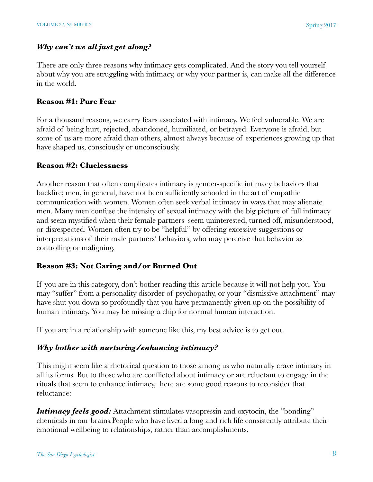# *Why can't we all just get along?*

There are only three reasons why intimacy gets complicated. And the story you tell yourself about why you are struggling with intimacy, or why your partner is, can make all the difference in the world.

#### **Reason #1: Pure Fear**

For a thousand reasons, we carry fears associated with intimacy. We feel vulnerable. We are afraid of being hurt, rejected, abandoned, humiliated, or betrayed. Everyone is afraid, but some of us are more afraid than others, almost always because of experiences growing up that have shaped us, consciously or unconsciously.

#### **Reason #2: Cluelessness**

Another reason that often complicates intimacy is gender-specific intimacy behaviors that backfire; men, in general, have not been sufficiently schooled in the art of empathic communication with women. Women often seek verbal intimacy in ways that may alienate men. Many men confuse the intensity of sexual intimacy with the big picture of full intimacy and seem mystified when their female partners seem uninterested, turned off, misunderstood, or disrespected. Women often try to be "helpful" by offering excessive suggestions or interpretations of their male partners' behaviors, who may perceive that behavior as controlling or maligning.

#### **Reason #3: Not Caring and/or Burned Out**

If you are in this category, don't bother reading this article because it will not help you. You may "suffer" from a personality disorder of psychopathy, or your "dismissive attachment" may have shut you down so profoundly that you have permanently given up on the possibility of human intimacy. You may be missing a chip for normal human interaction.

If you are in a relationship with someone like this, my best advice is to get out.

#### *Why bother with nurturing/enhancing intimacy?*

This might seem like a rhetorical question to those among us who naturally crave intimacy in all its forms. But to those who are conflicted about intimacy or are reluctant to engage in the rituals that seem to enhance intimacy, here are some good reasons to reconsider that reluctance:

*Intimacy feels good:* Attachment stimulates vasopressin and oxytocin, the "bonding" chemicals in our brains.People who have lived a long and rich life consistently attribute their emotional wellbeing to relationships, rather than accomplishments.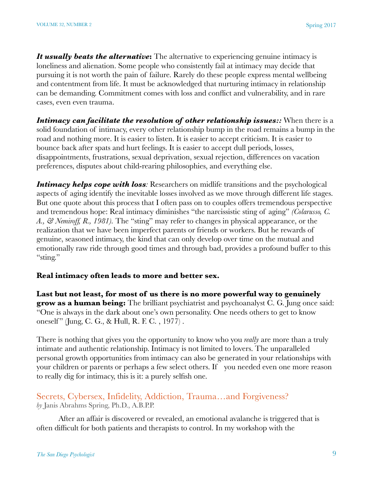*It usually beats the alternative***:** The alternative to experiencing genuine intimacy is loneliness and alienation. Some people who consistently fail at intimacy may decide that pursuing it is not worth the pain of failure. Rarely do these people express mental wellbeing and contentment from life. It must be acknowledged that nurturing intimacy in relationship can be demanding. Commitment comes with loss and conflict and vulnerability, and in rare cases, even even trauma.

*Intimacy can facilitate the resolution of other relationship issues::* **When there is a** solid foundation of intimacy, every other relationship bump in the road remains a bump in the road and nothing more. It is easier to listen. It is easier to accept criticism. It is easier to bounce back after spats and hurt feelings. It is easier to accept dull periods, losses, disappointments, frustrations, sexual deprivation, sexual rejection, differences on vacation preferences, disputes about child-rearing philosophies, and everything else.

*Intimacy helps cope with loss:* Researchers on midlife transitions and the psychological aspects of aging identify the inevitable losses involved as we move through different life stages. But one quote about this process that I often pass on to couples offers tremendous perspective and tremendous hope: Real intimacy diminishes "the narcissistic sting of aging" *(Colarusso, C. A., & Nemiroff, R., 1981).* The "sting" may refer to changes in physical appearance, or the realization that we have been imperfect parents or friends or workers. But he rewards of genuine, seasoned intimacy, the kind that can only develop over time on the mutual and emotionally raw ride through good times and through bad, provides a profound buffer to this "sting."

#### **Real intimacy often leads to more and better sex.**

**Last but not least, for most of us there is no more powerful way to genuinely grow as a human being:** The brilliant psychiatrist and psychoanalyst C. G. Jung once said: "One is always in the dark about one's own personality. One needs others to get to know oneself" (Jung, C. G., & Hull, R. F. C., 1977).

There is nothing that gives you the opportunity to know who you *really* are more than a truly intimate and authentic relationship. Intimacy is not limited to lovers. The unparalleled personal growth opportunities from intimacy can also be generated in your relationships with your children or parents or perhaps a few select others. If you needed even one more reason to really dig for intimacy, this is it: a purely selfish one.

#### Secrets, Cybersex, Infidelity, Addiction, Trauma…and Forgiveness? *by* Janis Abrahms Spring, Ph.D., A.B.P.P.

After an affair is discovered or revealed, an emotional avalanche is triggered that is often difficult for both patients and therapists to control. In my workshop with the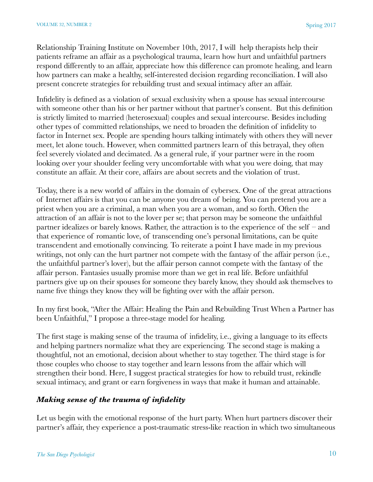Relationship Training Institute on November 10th, 2017, I will help therapists help their patients reframe an affair as a psychological trauma, learn how hurt and unfaithful partners respond differently to an affair, appreciate how this difference can promote healing, and learn how partners can make a healthy, self-interested decision regarding reconciliation. I will also present concrete strategies for rebuilding trust and sexual intimacy after an affair.

Infidelity is defined as a violation of sexual exclusivity when a spouse has sexual intercourse with someone other than his or her partner without that partner's consent. But this definition is strictly limited to married (heterosexual) couples and sexual intercourse. Besides including other types of committed relationships, we need to broaden the definition of infidelity to factor in Internet sex. People are spending hours talking intimately with others they will never meet, let alone touch. However, when committed partners learn of this betrayal, they often feel severely violated and decimated. As a general rule, if your partner were in the room looking over your shoulder feeling very uncomfortable with what you were doing, that may constitute an affair. At their core, affairs are about secrets and the violation of trust.

Today, there is a new world of affairs in the domain of cybersex. One of the great attractions of Internet affairs is that you can be anyone you dream of being. You can pretend you are a priest when you are a criminal, a man when you are a woman, and so forth. Often the attraction of an affair is not to the lover per se; that person may be someone the unfaithful partner idealizes or barely knows. Rather, the attraction is to the experience of the self – and that experience of romantic love, of transcending one's personal limitations, can be quite transcendent and emotionally convincing. To reiterate a point I have made in my previous writings, not only can the hurt partner not compete with the fantasy of the affair person (i.e., the unfaithful partner's lover), but the affair person cannot compete with the fantasy of the affair person. Fantasies usually promise more than we get in real life. Before unfaithful partners give up on their spouses for someone they barely know, they should ask themselves to name five things they know they will be fighting over with the affair person.

In my first book, "After the Affair: Healing the Pain and Rebuilding Trust When a Partner has been Unfaithful," I propose a three-stage model for healing.

The first stage is making sense of the trauma of infidelity, i.e., giving a language to its effects and helping partners normalize what they are experiencing. The second stage is making a thoughtful, not an emotional, decision about whether to stay together. The third stage is for those couples who choose to stay together and learn lessons from the affair which will strengthen their bond. Here, I suggest practical strategies for how to rebuild trust, rekindle sexual intimacy, and grant or earn forgiveness in ways that make it human and attainable.

# *Making sense of the trauma of infidelity*

Let us begin with the emotional response of the hurt party. When hurt partners discover their partner's affair, they experience a post-traumatic stress-like reaction in which two simultaneous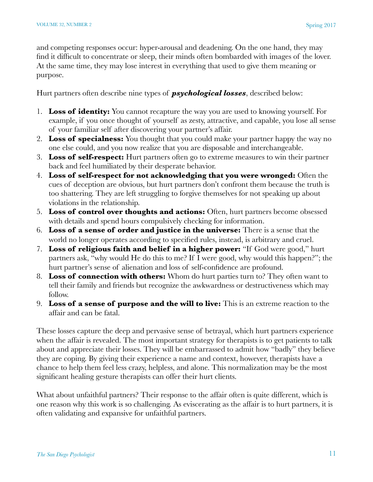and competing responses occur: hyper-arousal and deadening. On the one hand, they may find it difficult to concentrate or sleep, their minds often bombarded with images of the lover. At the same time, they may lose interest in everything that used to give them meaning or purpose.

Hurt partners often describe nine types of *psychological losses*, described below:

- 1. **Loss of identity:** You cannot recapture the way you are used to knowing yourself. For example, if you once thought of yourself as zesty, attractive, and capable, you lose all sense of your familiar self after discovering your partner's affair.
- 2. **Loss of specialness:** You thought that you could make your partner happy the way no one else could, and you now realize that you are disposable and interchangeable.
- 3. **Loss of self-respect:** Hurt partners often go to extreme measures to win their partner back and feel humiliated by their desperate behavior.
- 4. **Loss of self-respect for not acknowledging that you were wronged:** Often the cues of deception are obvious, but hurt partners don't confront them because the truth is too shattering. They are left struggling to forgive themselves for not speaking up about violations in the relationship.
- 5. **Loss of control over thoughts and actions:** Often, hurt partners become obsessed with details and spend hours compulsively checking for information.
- 6. **Loss of a sense of order and justice in the universe:** There is a sense that the world no longer operates according to specified rules, instead, is arbitrary and cruel.
- 7. **Loss of religious faith and belief in a higher power:** "If God were good," hurt partners ask, "why would He do this to me? If I were good, why would this happen?"; the hurt partner's sense of alienation and loss of self-confidence are profound.
- 8. **Loss of connection with others:** Whom do hurt parties turn to? They often want to tell their family and friends but recognize the awkwardness or destructiveness which may follow.
- 9. **Loss of a sense of purpose and the will to live:** This is an extreme reaction to the affair and can be fatal.

These losses capture the deep and pervasive sense of betrayal, which hurt partners experience when the affair is revealed. The most important strategy for therapists is to get patients to talk about and appreciate their losses. They will be embarrassed to admit how "badly" they believe they are coping. By giving their experience a name and context, however, therapists have a chance to help them feel less crazy, helpless, and alone. This normalization may be the most significant healing gesture therapists can offer their hurt clients.

What about unfaithful partners? Their response to the affair often is quite different, which is one reason why this work is so challenging. As eviscerating as the affair is to hurt partners, it is often validating and expansive for unfaithful partners.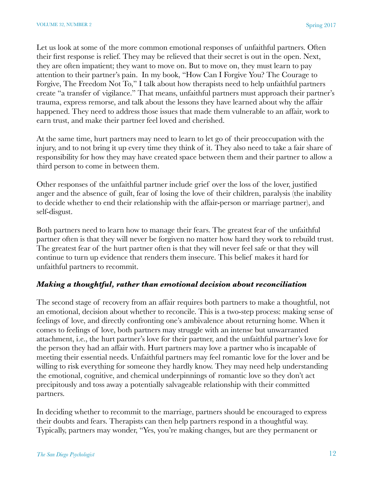Let us look at some of the more common emotional responses of unfaithful partners. Often their first response is relief. They may be relieved that their secret is out in the open. Next, they are often impatient; they want to move on. But to move on, they must learn to pay attention to their partner's pain. In my book, "How Can I Forgive You? The Courage to Forgive, The Freedom Not To," I talk about how therapists need to help unfaithful partners create "a transfer of vigilance." That means, unfaithful partners must approach their partner's trauma, express remorse, and talk about the lessons they have learned about why the affair happened. They need to address those issues that made them vulnerable to an affair, work to earn trust, and make their partner feel loved and cherished.

At the same time, hurt partners may need to learn to let go of their preoccupation with the injury, and to not bring it up every time they think of it. They also need to take a fair share of responsibility for how they may have created space between them and their partner to allow a third person to come in between them.

Other responses of the unfaithful partner include grief over the loss of the lover, justified anger and the absence of guilt, fear of losing the love of their children, paralysis (the inability to decide whether to end their relationship with the affair-person or marriage partner), and self-disgust.

Both partners need to learn how to manage their fears. The greatest fear of the unfaithful partner often is that they will never be forgiven no matter how hard they work to rebuild trust. The greatest fear of the hurt partner often is that they will never feel safe or that they will continue to turn up evidence that renders them insecure. This belief makes it hard for unfaithful partners to recommit.

#### *Making a thoughtful, rather than emotional decision about reconciliation*

The second stage of recovery from an affair requires both partners to make a thoughtful, not an emotional, decision about whether to reconcile. This is a two-step process: making sense of feelings of love, and directly confronting one's ambivalence about returning home. When it comes to feelings of love, both partners may struggle with an intense but unwarranted attachment, i.e., the hurt partner's love for their partner, and the unfaithful partner's love for the person they had an affair with. Hurt partners may love a partner who is incapable of meeting their essential needs. Unfaithful partners may feel romantic love for the lover and be willing to risk everything for someone they hardly know. They may need help understanding the emotional, cognitive, and chemical underpinnings of romantic love so they don't act precipitously and toss away a potentially salvageable relationship with their committed partners.

In deciding whether to recommit to the marriage, partners should be encouraged to express their doubts and fears. Therapists can then help partners respond in a thoughtful way. Typically, partners may wonder, "Yes, you're making changes, but are they permanent or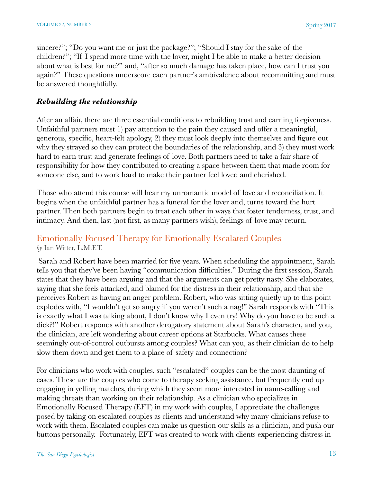sincere?"; "Do you want me or just the package?"; "Should I stay for the sake of the children?"; "If I spend more time with the lover, might I be able to make a better decision about what is best for me?" and, "after so much damage has taken place, how can I trust you again?" These questions underscore each partner's ambivalence about recommitting and must be answered thoughtfully.

# *Rebuilding the relationship*

After an affair, there are three essential conditions to rebuilding trust and earning forgiveness. Unfaithful partners must 1) pay attention to the pain they caused and offer a meaningful, generous, specific, heart-felt apology, 2) they must look deeply into themselves and figure out why they strayed so they can protect the boundaries of the relationship, and 3) they must work hard to earn trust and generate feelings of love. Both partners need to take a fair share of responsibility for how they contributed to creating a space between them that made room for someone else, and to work hard to make their partner feel loved and cherished.

Those who attend this course will hear my unromantic model of love and reconciliation. It begins when the unfaithful partner has a funeral for the lover and, turns toward the hurt partner. Then both partners begin to treat each other in ways that foster tenderness, trust, and intimacy. And then, last (not first, as many partners wish), feelings of love may return.

# Emotionally Focused Therapy for Emotionally Escalated Couples *by* Ian Witter, L.M.F.T.

 Sarah and Robert have been married for five years. When scheduling the appointment, Sarah tells you that they've been having "communication difficulties." During the first session, Sarah states that they have been arguing and that the arguments can get pretty nasty. She elaborates, saying that she feels attacked, and blamed for the distress in their relationship, and that she perceives Robert as having an anger problem. Robert, who was sitting quietly up to this point explodes with, "I wouldn't get so angry if you weren't such a nag!" Sarah responds with "This is exactly what I was talking about, I don't know why I even try! Why do you have to be such a dick?!" Robert responds with another derogatory statement about Sarah's character, and you, the clinician, are left wondering about career options at Starbucks. What causes these seemingly out-of-control outbursts among couples? What can you, as their clinician do to help slow them down and get them to a place of safety and connection?

For clinicians who work with couples, such "escalated" couples can be the most daunting of cases. These are the couples who come to therapy seeking assistance, but frequently end up engaging in yelling matches, during which they seem more interested in name-calling and making threats than working on their relationship. As a clinician who specializes in Emotionally Focused Therapy (EFT) in my work with couples, I appreciate the challenges posed by taking on escalated couples as clients and understand why many clinicians refuse to work with them. Escalated couples can make us question our skills as a clinician, and push our buttons personally. Fortunately, EFT was created to work with clients experiencing distress in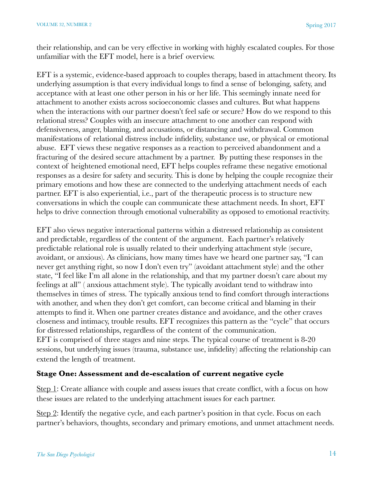their relationship, and can be very effective in working with highly escalated couples. For those unfamiliar with the EFT model, here is a brief overview.

EFT is a systemic, evidence-based approach to couples therapy, based in attachment theory. Its underlying assumption is that every individual longs to find a sense of belonging, safety, and acceptance with at least one other person in his or her life. This seemingly innate need for attachment to another exists across socioeconomic classes and cultures. But what happens when the interactions with our partner doesn't feel safe or secure? How do we respond to this relational stress? Couples with an insecure attachment to one another can respond with defensiveness, anger, blaming, and accusations, or distancing and withdrawal. Common manifestations of relational distress include infidelity, substance use, or physical or emotional abuse. EFT views these negative responses as a reaction to perceived abandonment and a fracturing of the desired secure attachment by a partner. By putting these responses in the context of heightened emotional need, EFT helps couples reframe these negative emotional responses as a desire for safety and security. This is done by helping the couple recognize their primary emotions and how these are connected to the underlying attachment needs of each partner. EFT is also experiential, i.e., part of the therapeutic process is to structure new conversations in which the couple can communicate these attachment needs. In short, EFT helps to drive connection through emotional vulnerability as opposed to emotional reactivity.

EFT also views negative interactional patterns within a distressed relationship as consistent and predictable, regardless of the content of the argument. Each partner's relatively predictable relational role is usually related to their underlying attachment style (secure, avoidant, or anxious). As clinicians, how many times have we heard one partner say, "I can never get anything right, so now I don't even try" (avoidant attachment style) and the other state, "I feel like I'm all alone in the relationship, and that my partner doesn't care about my feelings at all" ( anxious attachment style). The typically avoidant tend to withdraw into themselves in times of stress. The typically anxious tend to find comfort through interactions with another, and when they don't get comfort, can become critical and blaming in their attempts to find it. When one partner creates distance and avoidance, and the other craves closeness and intimacy, trouble results. EFT recognizes this pattern as the "cycle" that occurs for distressed relationships, regardless of the content of the communication. EFT is comprised of three stages and nine steps. The typical course of treatment is 8-20 sessions, but underlying issues (trauma, substance use, infidelity) affecting the relationship can extend the length of treatment.

#### **Stage One: Assessment and de-escalation of current negative cycle**

Step 1: Create alliance with couple and assess issues that create conflict, with a focus on how these issues are related to the underlying attachment issues for each partner.

Step 2: Identify the negative cycle, and each partner's position in that cycle. Focus on each partner's behaviors, thoughts, secondary and primary emotions, and unmet attachment needs.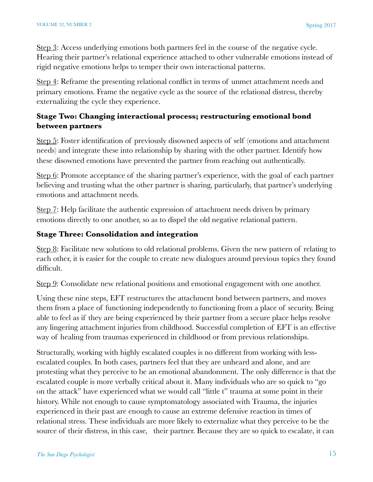Step 3: Access underlying emotions both partners feel in the course of the negative cycle. Hearing their partner's relational experience attached to other vulnerable emotions instead of rigid negative emotions helps to temper their own interactional patterns.

Step 4: Reframe the presenting relational conflict in terms of unmet attachment needs and primary emotions. Frame the negative cycle as the source of the relational distress, thereby externalizing the cycle they experience.

# **Stage Two: Changing interactional process; restructuring emotional bond between partners**

Step 5: Foster identification of previously disowned aspects of self (emotions and attachment needs) and integrate these into relationship by sharing with the other partner. Identify how these disowned emotions have prevented the partner from reaching out authentically.

Step 6: Promote acceptance of the sharing partner's experience, with the goal of each partner believing and trusting what the other partner is sharing, particularly, that partner's underlying emotions and attachment needs.

Step 7: Help facilitate the authentic expression of attachment needs driven by primary emotions directly to one another, so as to dispel the old negative relational pattern.

# **Stage Three: Consolidation and integration**

Step 8: Facilitate new solutions to old relational problems. Given the new pattern of relating to each other, it is easier for the couple to create new dialogues around previous topics they found difficult.

Step 9: Consolidate new relational positions and emotional engagement with one another.

Using these nine steps, EFT restructures the attachment bond between partners, and moves them from a place of functioning independently to functioning from a place of security. Being able to feel as if they are being experienced by their partner from a secure place helps resolve any lingering attachment injuries from childhood. Successful completion of EFT is an effective way of healing from traumas experienced in childhood or from previous relationships.

Structurally, working with highly escalated couples is no different from working with lessescalated couples. In both cases, partners feel that they are unheard and alone, and are protesting what they perceive to be an emotional abandonment. The only difference is that the escalated couple is more verbally critical about it. Many individuals who are so quick to "go on the attack" have experienced what we would call "little t" trauma at some point in their history. While not enough to cause symptomatology associated with Trauma, the injuries experienced in their past are enough to cause an extreme defensive reaction in times of relational stress. These individuals are more likely to externalize what they perceive to be the source of their distress, in this case, their partner. Because they are so quick to escalate, it can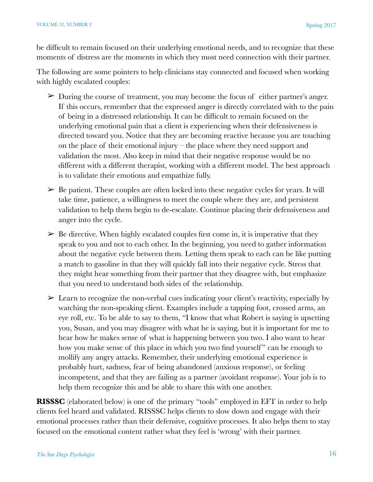be difficult to remain focused on their underlying emotional needs, and to recognize that these moments of distress are the moments in which they most need connection with their partner.

The following are some pointers to help clinicians stay connected and focused when working with highly escalated couples:

- ➢ During the course of treatment, you may become the focus of either partner's anger. If this occurs, remember that the expressed anger is directly correlated with to the pain of being in a distressed relationship. It can be difficult to remain focused on the underlying emotional pain that a client is experiencing when their defensiveness is directed toward you. Notice that they are becoming reactive because you are touching on the place of their emotional injury – the place where they need support and validation the most. Also keep in mind that their negative response would be no different with a different therapist, working with a different model. The best approach is to validate their emotions and empathize fully.
- $\geq$  Be patient. These couples are often locked into these negative cycles for years. It will take time, patience, a willingness to meet the couple where they are, and persistent validation to help them begin to de-escalate. Continue placing their defensiveness and anger into the cycle.
- $\triangleright$  Be directive. When highly escalated couples first come in, it is imperative that they speak to you and not to each other. In the beginning, you need to gather information about the negative cycle between them. Letting them speak to each can be like putting a match to gasoline in that they will quickly fall into their negative cycle. Stress that they might hear something from their partner that they disagree with, but emphasize that you need to understand both sides of the relationship.
- $\geq$  Learn to recognize the non-verbal cues indicating your client's reactivity, especially by watching the non-speaking client. Examples include a tapping foot, crossed arms, an eye roll, etc. To be able to say to them, "I know that what Robert is saying is upsetting you, Susan, and you may disagree with what he is saying, but it is important for me to hear how he makes sense of what is happening between you two. I also want to hear how you make sense of this place in which you two find yourself" can be enough to mollify any angry attacks. Remember, their underlying emotional experience is probably hurt, sadness, fear of being abandoned (anxious response), or feeling incompetent, and that they are failing as a partner (avoidant response). Your job is to help them recognize this and be able to share this with one another.

**RISSSC** (elaborated below) is one of the primary "tools" employed in EFT in order to help clients feel heard and validated. RISSSC helps clients to slow down and engage with their emotional processes rather than their defensive, cognitive processes. It also helps them to stay focused on the emotional content rather what they feel is 'wrong' with their partner.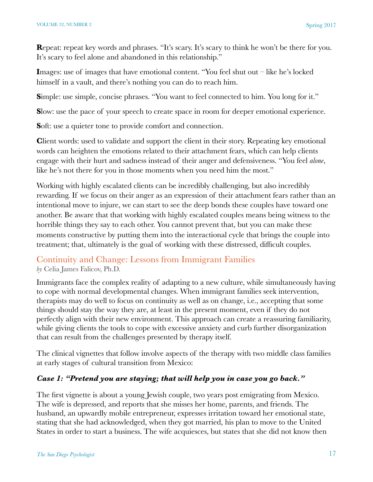**Repeat:** repeat key words and phrases. "It's scary. It's scary to think he won't be there for you. It's scary to feel alone and abandoned in this relationship."

**I**mages: use of images that have emotional content. "You feel shut out – like he's locked himself in a vault, and there's nothing you can do to reach him.

**S**imple: use simple, concise phrases. "You want to feel connected to him. You long for it."

**S**low: use the pace of your speech to create space in room for deeper emotional experience.

**S**oft: use a quieter tone to provide comfort and connection.

**C**lient words: used to validate and support the client in their story. Repeating key emotional words can heighten the emotions related to their attachment fears, which can help clients engage with their hurt and sadness instead of their anger and defensiveness. "You feel *alone*, like he's not there for you in those moments when you need him the most."

Working with highly escalated clients can be incredibly challenging, but also incredibly rewarding. If we focus on their anger as an expression of their attachment fears rather than an intentional move to injure, we can start to see the deep bonds these couples have toward one another. Be aware that that working with highly escalated couples means being witness to the horrible things they say to each other. You cannot prevent that, but you can make these moments constructive by putting them into the interactional cycle that brings the couple into treatment; that, ultimately is the goal of working with these distressed, difficult couples.

# Continuity and Change: Lessons from Immigrant Families *by* Celia James Falicov, Ph.D.

Immigrants face the complex reality of adapting to a new culture, while simultaneously having to cope with normal developmental changes. When immigrant families seek intervention, therapists may do well to focus on continuity as well as on change, i.e., accepting that some things should stay the way they are, at least in the present moment, even if they do not perfectly align with their new environment. This approach can create a reassuring familiarity, while giving clients the tools to cope with excessive anxiety and curb further disorganization that can result from the challenges presented by therapy itself.

The clinical vignettes that follow involve aspects of the therapy with two middle class families at early stages of cultural transition from Mexico:

# *Case 1: "Pretend you are staying; that will help you in case you go back."*

The first vignette is about a young Jewish couple, two years post emigrating from Mexico. The wife is depressed, and reports that she misses her home, parents, and friends. The husband, an upwardly mobile entrepreneur, expresses irritation toward her emotional state, stating that she had acknowledged, when they got married, his plan to move to the United States in order to start a business. The wife acquiesces, but states that she did not know then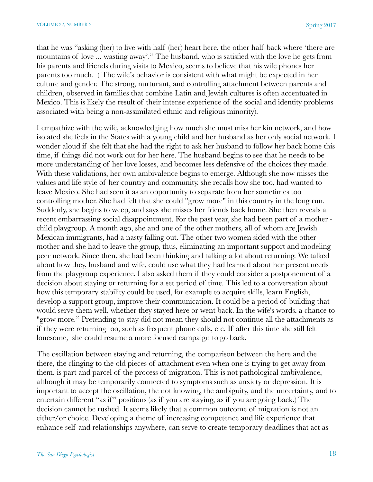that he was "asking (her) to live with half (her) heart here, the other half back where 'there are mountains of love ... wasting away'." The husband, who is satisfied with the love he gets from his parents and friends during visits to Mexico, seems to believe that his wife phones her parents too much. ( The wife's behavior is consistent with what might be expected in her culture and gender. The strong, nurturant, and controlling attachment between parents and children, observed in families that combine Latin and Jewish cultures is often accentuated in Mexico. This is likely the result of their intense experience of the social and identity problems associated with being a non-assimilated ethnic and religious minority).

I empathize with the wife, acknowledging how much she must miss her kin network, and how isolated she feels in the States with a young child and her husband as her only social network. I wonder aloud if she felt that she had the right to ask her husband to follow her back home this time, if things did not work out for her here. The husband begins to see that he needs to be more understanding of her love losses, and becomes less defensive of the choices they made. With these validations, her own ambivalence begins to emerge. Although she now misses the values and life style of her country and community, she recalls how she too, had wanted to leave Mexico. She had seen it as an opportunity to separate from her sometimes too controlling mother. She had felt that she could "grow more" in this country in the long run. Suddenly, she begins to weep, and says she misses her friends back home. She then reveals a recent embarrassing social disappointment. For the past year, she had been part of a mother child playgroup. A month ago, she and one of the other mothers, all of whom are Jewish Mexican immigrants, had a nasty falling out. The other two women sided with the other mother and she had to leave the group, thus, eliminating an important support and modeling peer network. Since then, she had been thinking and talking a lot about returning. We talked about how they, husband and wife, could use what they had learned about her present needs from the playgroup experience. I also asked them if they could consider a postponement of a decision about staying or returning for a set period of time. This led to a conversation about how this temporary stability could be used, for example to acquire skills, learn English, develop a support group, improve their communication. It could be a period of building that would serve them well, whether they stayed here or went back. In the wife's words, a chance to "grow more." Pretending to stay did not mean they should not continue all the attachments as if they were returning too, such as frequent phone calls, etc. If after this time she still felt lonesome, she could resume a more focused campaign to go back.

The oscillation between staying and returning, the comparison between the here and the there, the clinging to the old pieces of attachment even when one is trying to get away from them, is part and parcel of the process of migration. This is not pathological ambivalence, although it may be temporarily connected to symptoms such as anxiety or depression. It is important to accept the oscillation, the not knowing, the ambiguity, and the uncertainty, and to entertain different "as if " positions (as if you are staying, as if you are going back.) The decision cannot be rushed. It seems likely that a common outcome of migration is not an either/or choice. Developing a theme of increasing competence and life experience that enhance self and relationships anywhere, can serve to create temporary deadlines that act as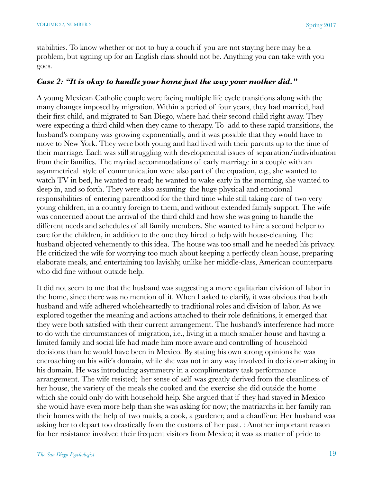stabilities. To know whether or not to buy a couch if you are not staying here may be a problem, but signing up for an English class should not be. Anything you can take with you goes.

#### *Case 2: "It is okay to handle your home just the way your mother did."*

A young Mexican Catholic couple were facing multiple life cycle transitions along with the many changes imposed by migration. Within a period of four years, they had married, had their first child, and migrated to San Diego, where had their second child right away. They were expecting a third child when they came to therapy. To add to these rapid transitions, the husband's company was growing exponentially, and it was possible that they would have to move to New York. They were both young and had lived with their parents up to the time of their marriage. Each was still struggling with developmental issues of separation/individuation from their families. The myriad accommodations of early marriage in a couple with an asymmetrical style of communication were also part of the equation, e.g., she wanted to watch TV in bed, he wanted to read; he wanted to wake early in the morning, she wanted to sleep in, and so forth. They were also assuming the huge physical and emotional responsibilities of entering parenthood for the third time while still taking care of two very young children, in a country foreign to them, and without extended family support. The wife was concerned about the arrival of the third child and how she was going to handle the different needs and schedules of all family members. She wanted to hire a second helper to care for the children, in addition to the one they hired to help with house-cleaning. The husband objected vehemently to this idea. The house was too small and he needed his privacy. He criticized the wife for worrying too much about keeping a perfectly clean house, preparing elaborate meals, and entertaining too lavishly, unlike her middle-class, American counterparts who did fine without outside help.

It did not seem to me that the husband was suggesting a more egalitarian division of labor in the home, since there was no mention of it. When I asked to clarify, it was obvious that both husband and wife adhered wholeheartedly to traditional roles and division of labor. As we explored together the meaning and actions attached to their role definitions, it emerged that they were both satisfied with their current arrangement. The husband's interference had more to do with the circumstances of migration, i.e., living in a much smaller house and having a limited family and social life had made him more aware and controlling of household decisions than he would have been in Mexico. By stating his own strong opinions he was encroaching on his wife's domain, while she was not in any way involved in decision-making in his domain. He was introducing asymmetry in a complimentary task performance arrangement. The wife resisted; her sense of self was greatly derived from the cleanliness of her house, the variety of the meals she cooked and the exercise she did outside the home which she could only do with household help. She argued that if they had stayed in Mexico she would have even more help than she was asking for now; the matriarchs in her family ran their homes with the help of two maids, a cook, a gardener, and a chauffeur. Her husband was asking her to depart too drastically from the customs of her past. : Another important reason for her resistance involved their frequent visitors from Mexico; it was as matter of pride to